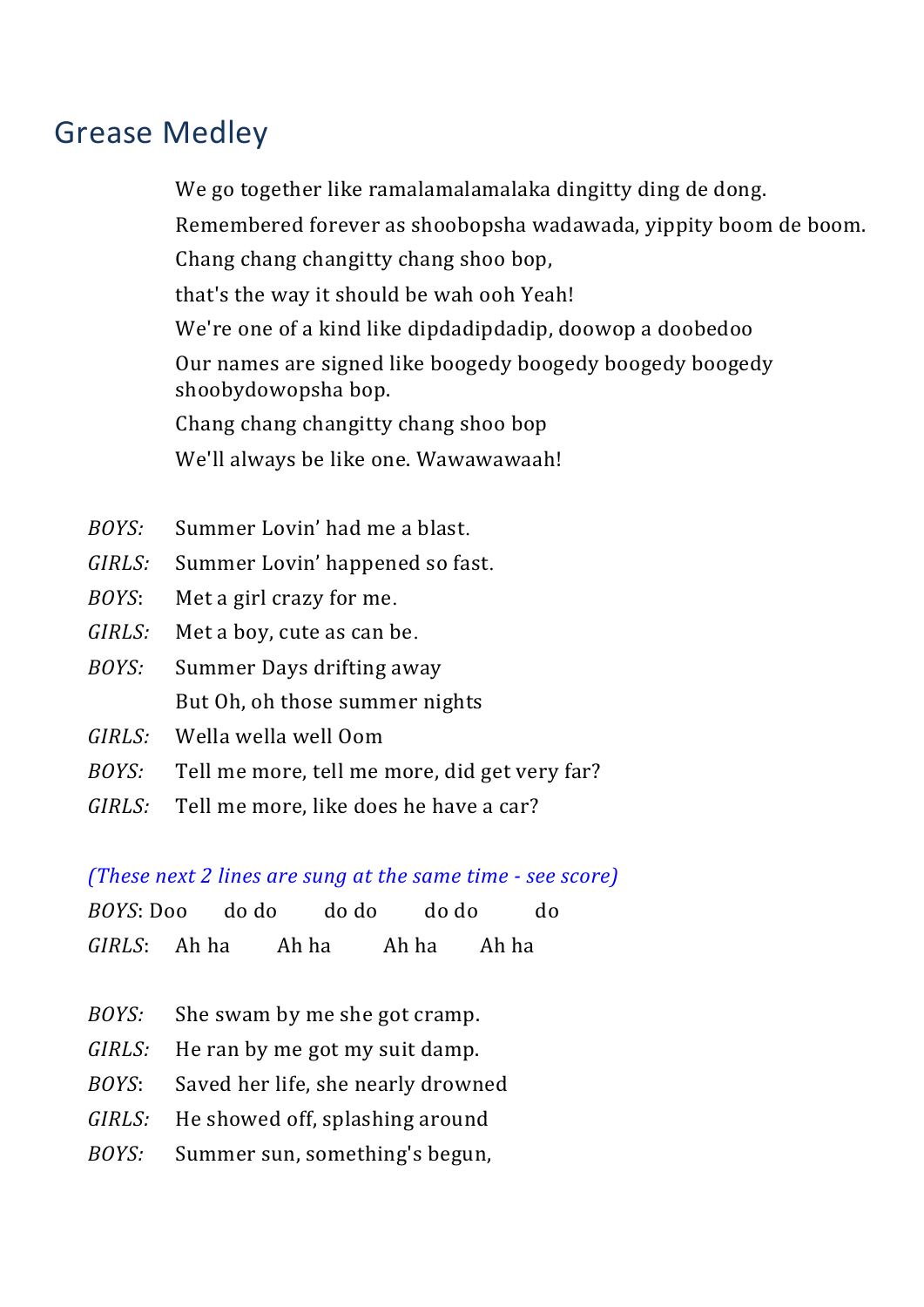## Grease Medley

We go together like ramalamalamalaka dingitty ding de dong. Remembered forever as shoobopsha wadawada, yippity boom de boom. Chang chang changitty chang shoo bop, that's the way it should be wah ooh Yeah! We're one of a kind like dipdadipdadip, doowop a doobedoo Our names are signed like boogedy boogedy boogedy boogedy shoobydowopsha bop. Chang chang changitty chang shoo bop We'll always be like one. Wawawawaah!

- *BOYS:* Summer Lovin' had me a blast.
- *GIRLS:* Summer Lovin' happened so fast.
- *BOYS*: Met a girl crazy for me.
- *GIRLS:* Met a boy, cute as can be.
- *BOYS:* Summer Days drifting away But Oh, oh those summer nights
- *GIRLS:* Wella wella well Oom
- *BOYS:* Tell me more, tell me more, did get very far?
- *GIRLS:* Tell me more, like does he have a car?

*(These next 2 lines are sung at the same time - see score)*

| BOYS: Doo do do do do do do do |  |  |  |
|--------------------------------|--|--|--|
| GIRLS: Ah ha Ah ha Ah ha Ah ha |  |  |  |

- *BOYS:* She swam by me she got cramp.
- *GIRLS:* He ran by me got my suit damp.
- *BOYS*: Saved her life, she nearly drowned
- *GIRLS:* He showed off, splashing around
- *BOYS:* Summer sun, something's begun,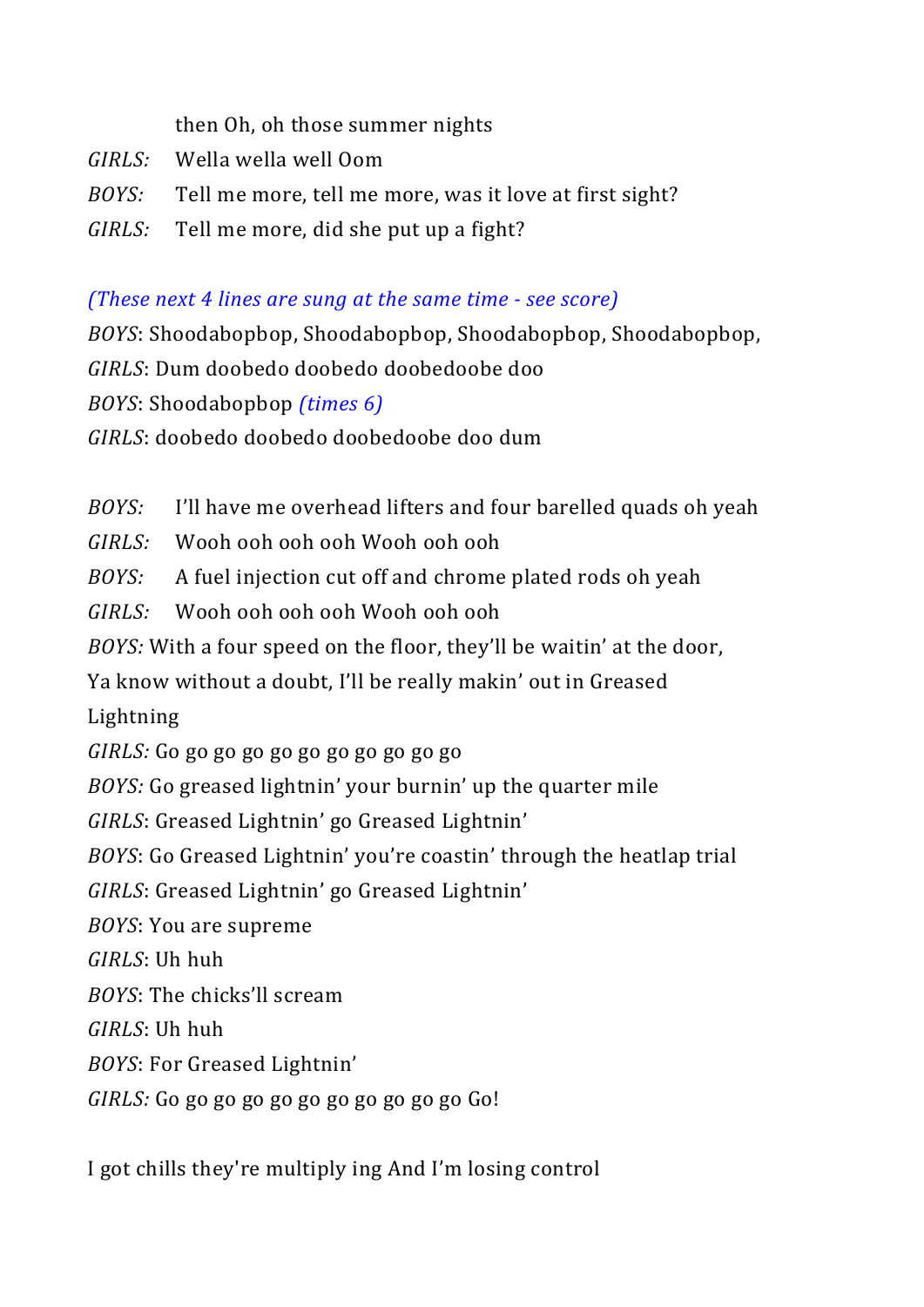then Oh, oh those summer nights

- GIRLS: Wella wella well Oom
- *BOYS:* Tell me more, tell me more, was it love at first sight?
- *GIRLS:* Tell me more, did she put up a fight?

## *(These next 4 lines are sung at the same time - see score)*

*BOYS*: Shoodabopbop, Shoodabopbop, Shoodabopbop, Shoodabopbop,

*GIRLS*: Dum doobedo doobedo doobedoobe doo

*BOYS*: Shoodabopbop *(times 6)* 

*GIRLS*: doobedo doobedo doobedoobe doo dum

*BOYS:* I'll have me overhead lifters and four barelled quads oh yeah

*GIRLS:* Wooh ooh ooh ooh Wooh ooh ooh

*BOYS:* A fuel injection cut off and chrome plated rods oh yeah

*GIRLS:* Wooh ooh ooh ooh Wooh ooh ooh

*BOYS:* With a four speed on the floor, they'll be waitin' at the door,

Ya know without a doubt, I'll be really makin' out in Greased

Lightning

*GIRLS:* Go go go go go go go go go go go

*BOYS:* Go greased lightnin' your burnin' up the quarter mile

GIRLS: Greased Lightnin' go Greased Lightnin'

*BOYS*: Go Greased Lightnin' you're coastin' through the heatlap trial

*GIRLS*: Greased Lightnin' go Greased Lightnin'

*BOYS*: You are supreme

*GIRLS*: Uh huh

*BOYS*: The chicks'll scream

*GIRLS*: Uh huh

*BOYS*: For Greased Lightnin'

*GIRLS:* Go go go go go go go go go go go Go!

I got chills they're multiply ing And I'm losing control